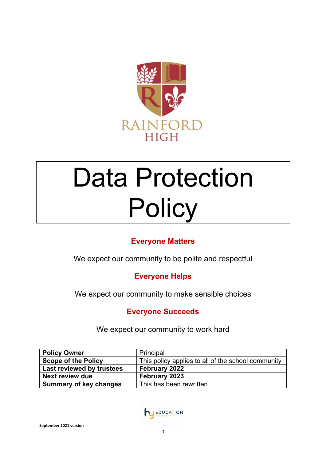

# Data Protection **Policy**

# **Everyone Matters**

We expect our community to be polite and respectful

**Everyone Helps**

We expect our community to make sensible choices

# **Everyone Succeeds**

We expect our community to work hard

| <b>Policy Owner</b>           | Principal                                          |
|-------------------------------|----------------------------------------------------|
| <b>Scope of the Policy</b>    | This policy applies to all of the school community |
| Last reviewed by trustees     | February 2022                                      |
| <b>Next review due</b>        | February 2023                                      |
| <b>Summary of key changes</b> | This has been rewritten                            |

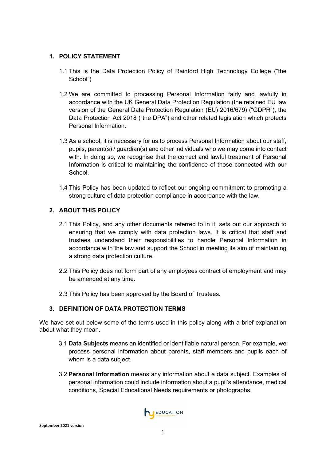# **1. POLICY STATEMENT**

- 1.1 This is the Data Protection Policy of Rainford High Technology College ("the School")
- 1.2 We are committed to processing Personal Information fairly and lawfully in accordance with the UK General Data Protection Regulation (the retained EU law version of the General Data Protection Regulation (EU) 2016/679) ("GDPR"), the Data Protection Act 2018 ("the DPA") and other related legislation which protects Personal Information.
- 1.3 As a school, it is necessary for us to process Personal Information about our staff, pupils, parent(s) / guardian(s) and other individuals who we may come into contact with. In doing so, we recognise that the correct and lawful treatment of Personal Information is critical to maintaining the confidence of those connected with our **School**
- 1.4 This Policy has been updated to reflect our ongoing commitment to promoting a strong culture of data protection compliance in accordance with the law.

# **2. ABOUT THIS POLICY**

- 2.1 This Policy, and any other documents referred to in it, sets out our approach to ensuring that we comply with data protection laws. It is critical that staff and trustees understand their responsibilities to handle Personal Information in accordance with the law and support the School in meeting its aim of maintaining a strong data protection culture.
- 2.2 This Policy does not form part of any employees contract of employment and may be amended at any time.
- 2.3 This Policy has been approved by the Board of Trustees.

# **3. DEFINITION OF DATA PROTECTION TERMS**

We have set out below some of the terms used in this policy along with a brief explanation about what they mean.

- 3.1 **Data Subjects** means an identified or identifiable natural person. For example, we process personal information about parents, staff members and pupils each of whom is a data subject.
- 3.2 **Personal Information** means any information about a data subject. Examples of personal information could include information about a pupil's attendance, medical conditions, Special Educational Needs requirements or photographs.

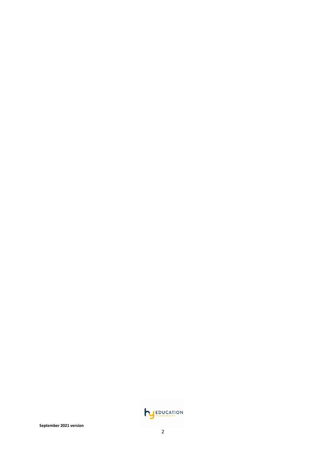**September 202 1 version** 



2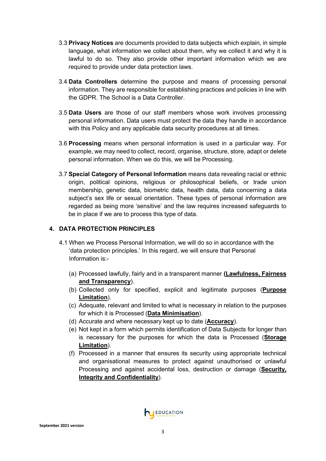- 3.3 **Privacy Notices** are documents provided to data subjects which explain, in simple language, what information we collect about them, why we collect it and why it is lawful to do so. They also provide other important information which we are required to provide under data protection laws.
- 3.4 **Data Controllers** determine the purpose and means of processing personal information. They are responsible for establishing practices and policies in line with the GDPR. The School is a Data Controller.
- 3.5 **Data Users** are those of our staff members whose work involves processing personal information. Data users must protect the data they handle in accordance with this Policy and any applicable data security procedures at all times.
- 3.6 **Processing** means when personal information is used in a particular way. For example, we may need to collect, record, organise, structure, store, adapt or delete personal information. When we do this, we will be Processing.
- 3.7 **Special Category of Personal Information** means data revealing racial or ethnic origin, political opinions, religious or philosophical beliefs, or trade union membership, genetic data, biometric data, health data, data concerning a data subject's sex life or sexual orientation. These types of personal information are regarded as being more 'sensitive' and the law requires increased safeguards to be in place if we are to process this type of data.

# **4. DATA PROTECTION PRINCIPLES**

- 4.1 When we Process Personal Information, we will do so in accordance with the 'data protection principles.' In this regard, we will ensure that Personal Information is:-
	- (a) Processed lawfully, fairly and in a transparent manner **(Lawfulness, Fairness and Transparency**).
	- (b) Collected only for specified, explicit and legitimate purposes (**Purpose Limitation**).
	- (c) Adequate, relevant and limited to what is necessary in relation to the purposes for which it is Processed (**Data Minimisation**).
	- (d) Accurate and where necessary kept up to date (**Accuracy**).
	- (e) Not kept in a form which permits identification of Data Subjects for longer than is necessary for the purposes for which the data is Processed (**Storage Limitation**).
	- (f) Processed in a manner that ensures its security using appropriate technical and organisational measures to protect against unauthorised or unlawful Processing and against accidental loss, destruction or damage (**Security, Integrity and Confidentiality**).

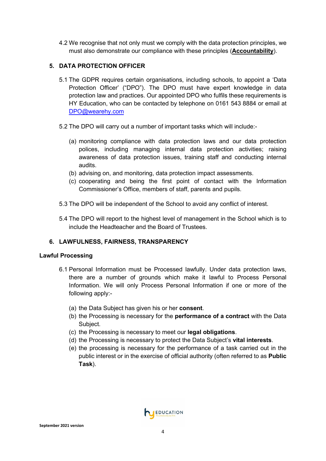4.2 We recognise that not only must we comply with the data protection principles, we must also demonstrate our compliance with these principles (**Accountability**).

# **5. DATA PROTECTION OFFICER**

- 5.1 The GDPR requires certain organisations, including schools, to appoint a 'Data Protection Officer' ("DPO"). The DPO must have expert knowledge in data protection law and practices. Our appointed DPO who fulfils these requirements is HY Education, who can be contacted by telephone on 0161 543 8884 or email at [DPO@wearehy.com](mailto:DPO@wearehy.com)
- 5.2 The DPO will carry out a number of important tasks which will include:-
	- (a) monitoring compliance with data protection laws and our data protection polices, including managing internal data protection activities; raising awareness of data protection issues, training staff and conducting internal audits.
	- (b) advising on, and monitoring, data protection impact assessments.
	- (c) cooperating and being the first point of contact with the Information Commissioner's Office, members of staff, parents and pupils.
- 5.3 The DPO will be independent of the School to avoid any conflict of interest.
- 5.4 The DPO will report to the highest level of management in the School which is to include the Headteacher and the Board of Trustees.

# **6. LAWFULNESS, FAIRNESS, TRANSPARENCY**

#### <span id="page-4-0"></span>**Lawful Processing**

- 6.1 Personal Information must be Processed lawfully. Under data protection laws, there are a number of grounds which make it lawful to Process Personal Information. We will only Process Personal Information if one or more of the following apply:-
	- (a) the Data Subject has given his or her **consent**.
	- (b) the Processing is necessary for the **performance of a contract** with the Data Subject.
	- (c) the Processing is necessary to meet our **legal obligations**.
	- (d) the Processing is necessary to protect the Data Subject's **vital interests**.
	- (e) the processing is necessary for the performance of a task carried out in the public interest or in the exercise of official authority (often referred to as **Public Task**).

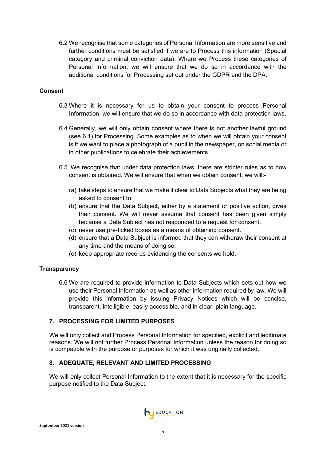6.2 We recognise that some categories of Personal Information are more sensitive and further conditions must be satisfied if we are to Process this information (Special category and criminal conviction data). Where we Process these categories of Personal Information, we will ensure that we do so in accordance with the additional conditions for Processing set out under the GDPR and the DPA.

# **Consent**

- 6.3 Where it is necessary for us to obtain your consent to process Personal Information, we will ensure that we do so in accordance with data protection laws.
- 6.4 Generally, we will only obtain consent where there is not another lawful ground (see [6.1\)](#page-4-0) for Processing. Some examples as to when we will obtain your consent is if we want to place a photograph of a pupil in the newspaper, on social media or in other publications to celebrate their achievements.
- 6.5 We recognise that under data protection laws, there are stricter rules as to how consent is obtained. We will ensure that when we obtain consent, we will:-
	- (a) take steps to ensure that we make it clear to Data Subjects what they are being asked to consent to.
	- (b) ensure that the Data Subject, either by a statement or positive action, gives their consent. We will never assume that consent has been given simply because a Data Subject has not responded to a request for consent.
	- (c) never use pre-ticked boxes as a means of obtaining consent.
	- (d) ensure that a Data Subject is informed that they can withdraw their consent at any time and the means of doing so.
	- (e) keep appropriate records evidencing the consents we hold.

#### **Transparency**

6.6 We are required to provide information to Data Subjects which sets out how we use their Personal Information as well as other information required by law. We will provide this information by issuing Privacy Notices which will be concise, transparent, intelligible, easily accessible, and in clear, plain language.

# **7. PROCESSING FOR LIMITED PURPOSES**

We will only collect and Process Personal Information for specified, explicit and legitimate reasons. We will not further Process Personal Information unless the reason for doing so is compatible with the purpose or purposes for which it was originally collected.

# **8. ADEQUATE, RELEVANT AND LIMITED PROCESSING**

We will only collect Personal Information to the extent that it is necessary for the specific purpose notified to the Data Subject.

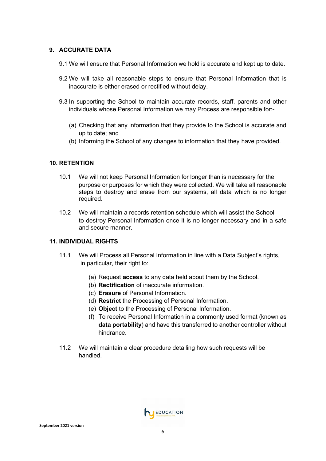# **9. ACCURATE DATA**

- 9.1 We will ensure that Personal Information we hold is accurate and kept up to date.
- 9.2 We will take all reasonable steps to ensure that Personal Information that is inaccurate is either erased or rectified without delay.
- 9.3 In supporting the School to maintain accurate records, staff, parents and other individuals whose Personal Information we may Process are responsible for:-
	- (a) Checking that any information that they provide to the School is accurate and up to date; and
	- (b) Informing the School of any changes to information that they have provided.

#### **10. RETENTION**

- 10.1 We will not keep Personal Information for longer than is necessary for the purpose or purposes for which they were collected. We will take all reasonable steps to destroy and erase from our systems, all data which is no longer required.
- 10.2 We will maintain a records retention schedule which will assist the School to destroy Personal Information once it is no longer necessary and in a safe and secure manner.

#### **11. INDIVIDUAL RIGHTS**

- 11.1 We will Process all Personal Information in line with a Data Subject's rights, in particular, their right to:
	- (a) Request **access** to any data held about them by the School.
	- (b) **Rectification** of inaccurate information.
	- (c) **Erasure** of Personal Information.
	- (d) **Restrict** the Processing of Personal Information.
	- (e) **Object** to the Processing of Personal Information.
	- (f) To receive Personal Information in a commonly used format (known as **data portability**) and have this transferred to another controller without hindrance.
- 11.2 We will maintain a clear procedure detailing how such requests will be handled.

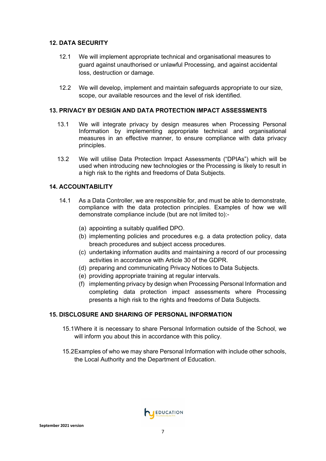### **12. DATA SECURITY**

- 12.1 We will implement appropriate technical and organisational measures to guard against unauthorised or unlawful Processing, and against accidental loss, destruction or damage.
- 12.2 We will develop, implement and maintain safeguards appropriate to our size, scope, our available resources and the level of risk identified.

#### **13. PRIVACY BY DESIGN AND DATA PROTECTION IMPACT ASSESSMENTS**

- 13.1 We will integrate privacy by design measures when Processing Personal Information by implementing appropriate technical and organisational measures in an effective manner, to ensure compliance with data privacy principles.
- 13.2 We will utilise Data Protection Impact Assessments ("DPIAs") which will be used when introducing new technologies or the Processing is likely to result in a high risk to the rights and freedoms of Data Subjects.

#### **14. ACCOUNTABILITY**

- 14.1 As a Data Controller, we are responsible for, and must be able to demonstrate, compliance with the data protection principles. Examples of how we will demonstrate compliance include (but are not limited to):-
	- (a) appointing a suitably qualified DPO.
	- (b) implementing policies and procedures e.g. a data protection policy, data breach procedures and subject access procedures.
	- (c) undertaking information audits and maintaining a record of our processing activities in accordance with Article 30 of the GDPR.
	- (d) preparing and communicating Privacy Notices to Data Subjects.
	- (e) providing appropriate training at regular intervals.
	- (f) implementing privacy by design when Processing Personal Information and completing data protection impact assessments where Processing presents a high risk to the rights and freedoms of Data Subjects.

# **15. DISCLOSURE AND SHARING OF PERSONAL INFORMATION**

- 15.1Where it is necessary to share Personal Information outside of the School, we will inform you about this in accordance with this policy.
- 15.2Examples of who we may share Personal Information with include other schools, the Local Authority and the Department of Education.